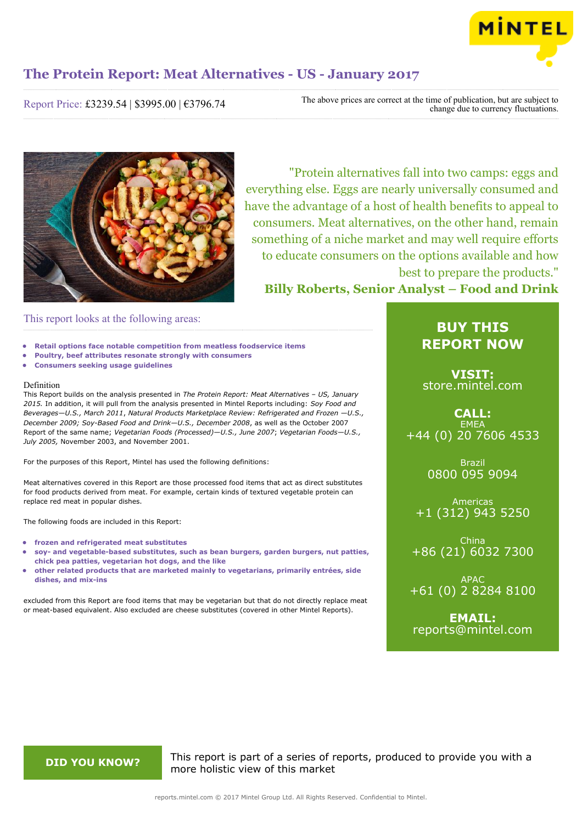

Report Price: £3239.54 | \$3995.00 | €3796.74

The above prices are correct at the time of publication, but are subject to change due to currency fluctuations.



"Protein alternatives fall into two camps: eggs and everything else. Eggs are nearly universally consumed and have the advantage of a host of health benefits to appeal to consumers. Meat alternatives, on the other hand, remain something of a niche market and may well require efforts to educate consumers on the options available and how best to prepare the products."

**Billy Roberts, Senior Analyst – Food and Drink**

### This report looks at the following areas:

- **• Retail options face notable competition from meatless foodservice items**
- **• Poultry, beef attributes resonate strongly with consumers**
- **• Consumers seeking usage guidelines**

#### Definition

This Report builds on the analysis presented in *The Protein Report: Meat Alternatives – US, January 2015.* In addition, it will pull from the analysis presented in Mintel Reports including: *Soy Food and Beverages—U.S., March 2011*, *Natural Products Marketplace Review: Refrigerated and Frozen —U.S., December 2009; Soy-Based Food and Drink—U.S., December 2008*, as well as the October 2007 Report of the same name; *Vegetarian Foods (Processed)—U.S., June 2007*; *Vegetarian Foods—U.S., July 2005,* November 2003, and November 2001.

For the purposes of this Report, Mintel has used the following definitions:

Meat alternatives covered in this Report are those processed food items that act as direct substitutes for food products derived from meat. For example, certain kinds of textured vegetable protein can replace red meat in popular dishes.

The following foods are included in this Report:

- **• frozen and refrigerated meat substitutes**
- **• soy- and vegetable-based substitutes, such as bean burgers, garden burgers, nut patties, chick pea patties, vegetarian hot dogs, and the like**
- **• other related products that are marketed mainly to vegetarians, primarily entrées, side dishes, and mix-ins**

excluded from this Report are food items that may be vegetarian but that do not directly replace meat or meat-based equivalent. Also excluded are cheese substitutes (covered in other Mintel Reports).

### **BUY THIS REPORT NOW**

**VISIT:** [store.mintel.com](http://reports.mintel.com//display/store/793029/)

### **CALL: EMEA** +44 (0) 20 7606 4533

Brazil 0800 095 9094

Americas +1 (312) 943 5250

China +86 (21) 6032 7300

APAC +61 (0) 2 8284 8100

**EMAIL:** [reports@mintel.com](mailto:reports@mintel.com)

**DID YOU KNOW?** This report is part of a series of reports, produced to provide you with a more holistic view of this market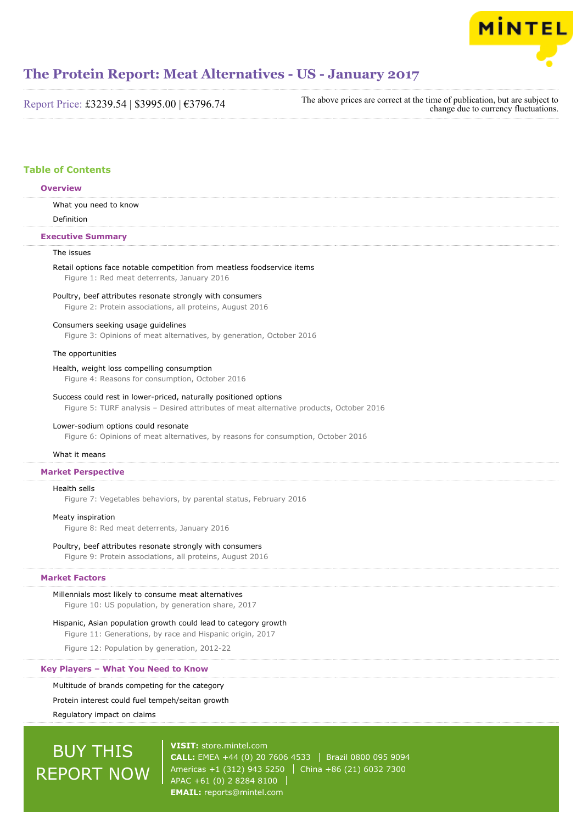

Report Price: £3239.54 | \$3995.00 | €3796.74

The above prices are correct at the time of publication, but are subject to change due to currency fluctuations.

#### **Table of Contents**

#### **Overview**

What you need to know

Definition

#### **Executive Summary**

#### The issues

### Retail options face notable competition from meatless foodservice items

Figure 1: Red meat deterrents, January 2016

#### Poultry, beef attributes resonate strongly with consumers

Figure 2: Protein associations, all proteins, August 2016

#### Consumers seeking usage guidelines

Figure 3: Opinions of meat alternatives, by generation, October 2016

#### The opportunities

#### Health, weight loss compelling consumption

Figure 4: Reasons for consumption, October 2016

#### Success could rest in lower-priced, naturally positioned options

Figure 5: TURF analysis – Desired attributes of meat alternative products, October 2016

#### Lower-sodium options could resonate

Figure 6: Opinions of meat alternatives, by reasons for consumption, October 2016

#### What it means

#### **Market Perspective**

#### Health sells

Figure 7: Vegetables behaviors, by parental status, February 2016

#### Meaty inspiration

Figure 8: Red meat deterrents, January 2016

#### Poultry, beef attributes resonate strongly with consumers

Figure 9: Protein associations, all proteins, August 2016

#### **Market Factors**

Millennials most likely to consume meat alternatives Figure 10: US population, by generation share, 2017

#### Hispanic, Asian population growth could lead to category growth

Figure 11: Generations, by race and Hispanic origin, 2017

Figure 12: Population by generation, 2012-22

#### **Key Players – What You Need to Know**

#### Multitude of brands competing for the category

Protein interest could fuel tempeh/seitan growth

Regulatory impact on claims

## BUY THIS REPORT NOW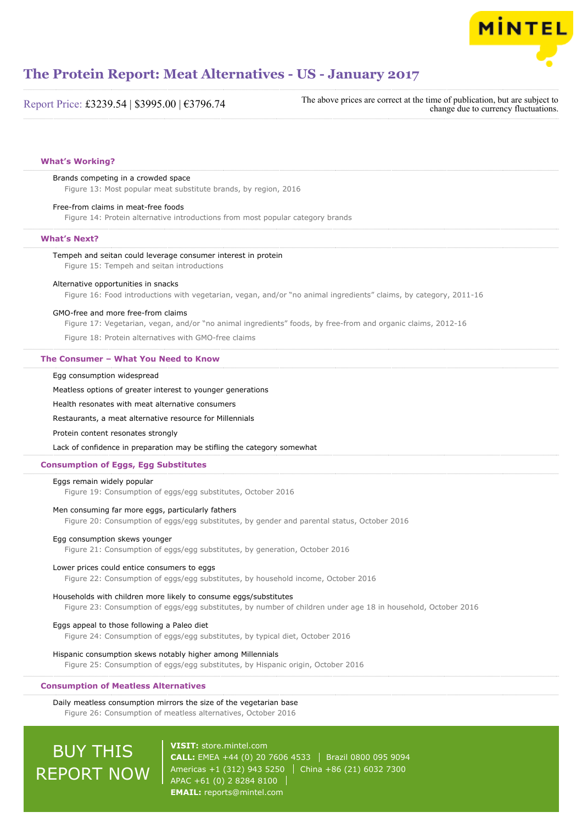

|  | Report Price: £3239.54   \$3995.00   €3796.74 |  |  |  |
|--|-----------------------------------------------|--|--|--|
|--|-----------------------------------------------|--|--|--|

The above prices are correct at the time of publication, but are subject to change due to currency fluctuations.

#### **What's Working?**

#### Brands competing in a crowded space

Figure 13: Most popular meat substitute brands, by region, 2016

#### Free-from claims in meat-free foods

Figure 14: Protein alternative introductions from most popular category brands

#### **What's Next?**

#### Tempeh and seitan could leverage consumer interest in protein

Figure 15: Tempeh and seitan introductions

#### Alternative opportunities in snacks

Figure 16: Food introductions with vegetarian, vegan, and/or "no animal ingredients" claims, by category, 2011-16

#### GMO-free and more free-from claims

Figure 17: Vegetarian, vegan, and/or "no animal ingredients" foods, by free-from and organic claims, 2012-16

Figure 18: Protein alternatives with GMO-free claims

#### **The Consumer – What You Need to Know**

#### Egg consumption widespread

Meatless options of greater interest to younger generations

Health resonates with meat alternative consumers

#### Restaurants, a meat alternative resource for Millennials

Protein content resonates strongly

Lack of confidence in preparation may be stifling the category somewhat

#### **Consumption of Eggs, Egg Substitutes**

#### Eggs remain widely popular

Figure 19: Consumption of eggs/egg substitutes, October 2016

#### Men consuming far more eggs, particularly fathers

Figure 20: Consumption of eggs/egg substitutes, by gender and parental status, October 2016

#### Egg consumption skews younger

Figure 21: Consumption of eggs/egg substitutes, by generation, October 2016

#### Lower prices could entice consumers to eggs

Figure 22: Consumption of eggs/egg substitutes, by household income, October 2016

#### Households with children more likely to consume eggs/substitutes

Figure 23: Consumption of eggs/egg substitutes, by number of children under age 18 in household, October 2016

#### Eggs appeal to those following a Paleo diet

Figure 24: Consumption of eggs/egg substitutes, by typical diet, October 2016

#### Hispanic consumption skews notably higher among Millennials

Figure 25: Consumption of eggs/egg substitutes, by Hispanic origin, October 2016

#### **Consumption of Meatless Alternatives**

Daily meatless consumption mirrors the size of the vegetarian base Figure 26: Consumption of meatless alternatives, October 2016

## BUY THIS REPORT NOW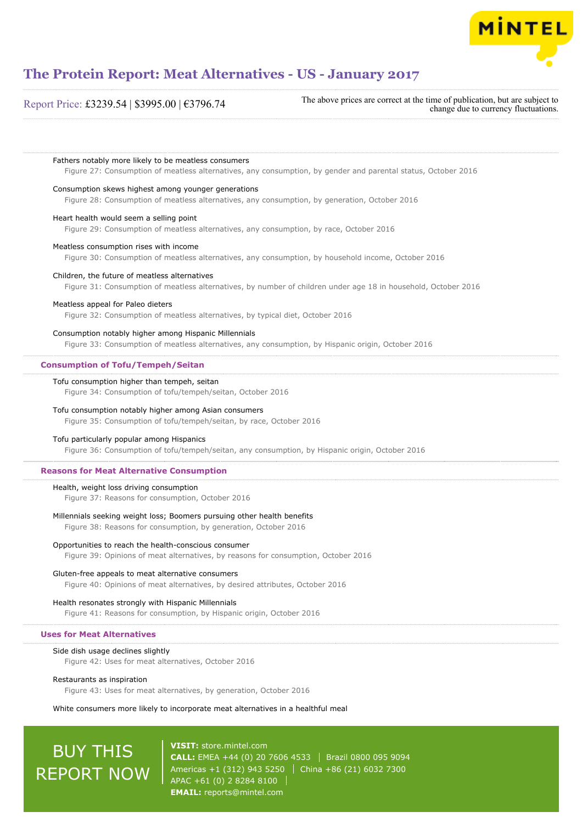

#### Report Price: £3239.54 | \$3995.00 | €3796.74

The above prices are correct at the time of publication, but are subject to change due to currency fluctuations.

Fathers notably more likely to be meatless consumers

Figure 27: Consumption of meatless alternatives, any consumption, by gender and parental status, October 2016

#### Consumption skews highest among younger generations

Figure 28: Consumption of meatless alternatives, any consumption, by generation, October 2016

#### Heart health would seem a selling point

Figure 29: Consumption of meatless alternatives, any consumption, by race, October 2016

#### Meatless consumption rises with income

Figure 30: Consumption of meatless alternatives, any consumption, by household income, October 2016

#### Children, the future of meatless alternatives

Figure 31: Consumption of meatless alternatives, by number of children under age 18 in household, October 2016

#### Meatless appeal for Paleo dieters

Figure 32: Consumption of meatless alternatives, by typical diet, October 2016

#### Consumption notably higher among Hispanic Millennials

Figure 33: Consumption of meatless alternatives, any consumption, by Hispanic origin, October 2016

#### **Consumption of Tofu/Tempeh/Seitan**

#### Tofu consumption higher than tempeh, seitan

Figure 34: Consumption of tofu/tempeh/seitan, October 2016

#### Tofu consumption notably higher among Asian consumers

Figure 35: Consumption of tofu/tempeh/seitan, by race, October 2016

#### Tofu particularly popular among Hispanics

Figure 36: Consumption of tofu/tempeh/seitan, any consumption, by Hispanic origin, October 2016

#### **Reasons for Meat Alternative Consumption**

#### Health, weight loss driving consumption

Figure 37: Reasons for consumption, October 2016

#### Millennials seeking weight loss; Boomers pursuing other health benefits

Figure 38: Reasons for consumption, by generation, October 2016

#### Opportunities to reach the health-conscious consumer

Figure 39: Opinions of meat alternatives, by reasons for consumption, October 2016

#### Gluten-free appeals to meat alternative consumers

Figure 40: Opinions of meat alternatives, by desired attributes, October 2016

#### Health resonates strongly with Hispanic Millennials

Figure 41: Reasons for consumption, by Hispanic origin, October 2016

#### **Uses for Meat Alternatives**

#### Side dish usage declines slightly

Figure 42: Uses for meat alternatives, October 2016

#### Restaurants as inspiration

Figure 43: Uses for meat alternatives, by generation, October 2016

#### White consumers more likely to incorporate meat alternatives in a healthful meal

## BUY THIS REPORT NOW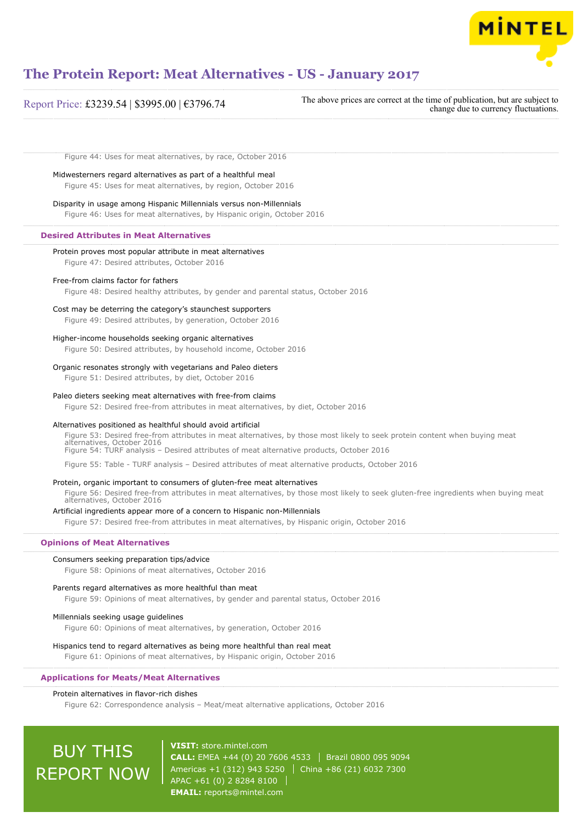

## **The Protein Report: Meat Alternatives - US - January 2017**

| Report Price: £3239.54   \$3995.00   €3796.74 | The above prices are correct at the time of publication, but are subject to<br>change due to currency fluctuations. |
|-----------------------------------------------|---------------------------------------------------------------------------------------------------------------------|
|-----------------------------------------------|---------------------------------------------------------------------------------------------------------------------|

Figure 44: Uses for meat alternatives, by race, October 2016

Midwesterners regard alternatives as part of a healthful meal

Figure 45: Uses for meat alternatives, by region, October 2016

### Disparity in usage among Hispanic Millennials versus non-Millennials

Figure 46: Uses for meat alternatives, by Hispanic origin, October 2016

#### **Desired Attributes in Meat Alternatives**

Protein proves most popular attribute in meat alternatives Figure 47: Desired attributes, October 2016 Free-from claims factor for fathers Figure 48: Desired healthy attributes, by gender and parental status, October 2016 Cost may be deterring the category's staunchest supporters Figure 49: Desired attributes, by generation, October 2016 Higher-income households seeking organic alternatives Figure 50: Desired attributes, by household income, October 2016 Organic resonates strongly with vegetarians and Paleo dieters

Figure 51: Desired attributes, by diet, October 2016

#### Paleo dieters seeking meat alternatives with free-from claims

Figure 52: Desired free-from attributes in meat alternatives, by diet, October 2016

#### Alternatives positioned as healthful should avoid artificial

Figure 53: Desired free-from attributes in meat alternatives, by those most likely to seek protein content when buying meat alternatives, October 2016 Figure 54: TURF analysis – Desired attributes of meat alternative products, October 2016

Figure 55: Table - TURF analysis – Desired attributes of meat alternative products, October 2016

#### Protein, organic important to consumers of gluten-free meat alternatives

Figure 56: Desired free-from attributes in meat alternatives, by those most likely to seek gluten-free ingredients when buying meat alternatives, October 2016

#### Artificial ingredients appear more of a concern to Hispanic non-Millennials

Figure 57: Desired free-from attributes in meat alternatives, by Hispanic origin, October 2016

#### **Opinions of Meat Alternatives**

#### Consumers seeking preparation tips/advice

Figure 58: Opinions of meat alternatives, October 2016

#### Parents regard alternatives as more healthful than meat

Figure 59: Opinions of meat alternatives, by gender and parental status, October 2016

#### Millennials seeking usage guidelines

Figure 60: Opinions of meat alternatives, by generation, October 2016

#### Hispanics tend to regard alternatives as being more healthful than real meat

Figure 61: Opinions of meat alternatives, by Hispanic origin, October 2016

#### **Applications for Meats/Meat Alternatives**

#### Protein alternatives in flavor-rich dishes

Figure 62: Correspondence analysis – Meat/meat alternative applications, October 2016

# BUY THIS REPORT NOW